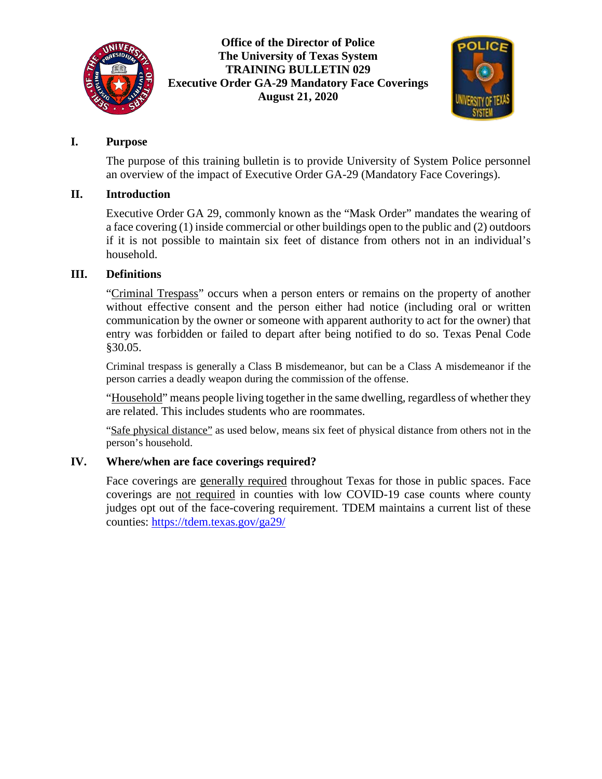

### **Office of the Director of Police The University of Texas System TRAINING BULLETIN 029 Executive Order GA-29 Mandatory Face Coverings August 21, 2020**



## **I. Purpose**

The purpose of this training bulletin is to provide University of System Police personnel an overview of the impact of Executive Order GA-29 (Mandatory Face Coverings).

## **II. Introduction**

Executive Order GA 29, commonly known as the "Mask Order" mandates the wearing of a face covering (1) inside commercial or other buildings open to the public and (2) outdoors if it is not possible to maintain six feet of distance from others not in an individual's household.

## **III. Definitions**

"Criminal Trespass" occurs when a person enters or remains on the property of another without effective consent and the person either had notice (including oral or written communication by the owner or someone with apparent authority to act for the owner) that entry was forbidden or failed to depart after being notified to do so. Texas Penal Code §30.05.

Criminal trespass is generally a Class B misdemeanor, but can be a Class A misdemeanor if the person carries a deadly weapon during the commission of the offense.

"Household" means people living together in the same dwelling, regardless of whether they are related. This includes students who are roommates.

"Safe physical distance" as used below, means six feet of physical distance from others not in the person's household.

# **IV. Where/when are face coverings required?**

Face coverings are generally required throughout Texas for those in public spaces. Face coverings are not required in counties with low COVID-19 case counts where county judges opt out of the face-covering requirement. TDEM maintains a current list of these counties:<https://tdem.texas.gov/ga29/>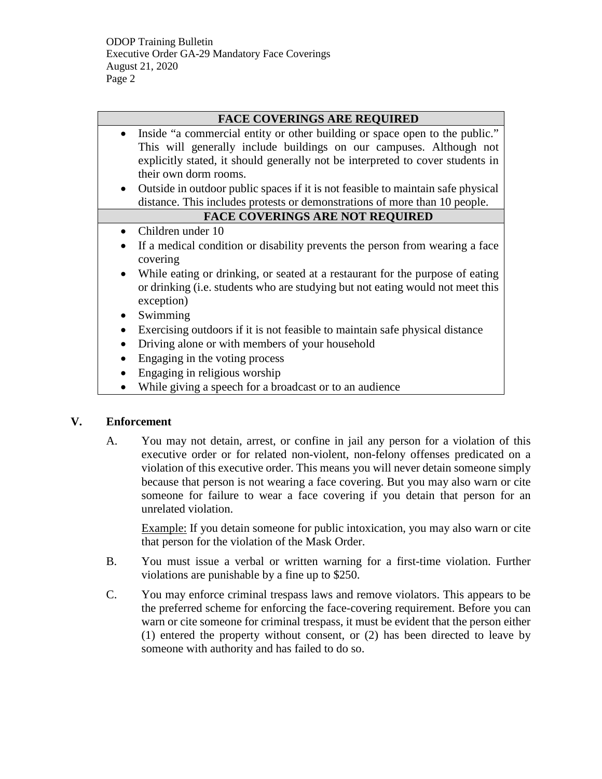#### **FACE COVERINGS ARE REQUIRED**

- Inside "a commercial entity or other building or space open to the public." This will generally include buildings on our campuses. Although not explicitly stated, it should generally not be interpreted to cover students in their own dorm rooms.
- Outside in outdoor public spaces if it is not feasible to maintain safe physical distance. This includes protests or demonstrations of more than 10 people.

#### **FACE COVERINGS ARE NOT REQUIRED**

- Children under 10
- If a medical condition or disability prevents the person from wearing a face covering
- While eating or drinking, or seated at a restaurant for the purpose of eating or drinking (i.e. students who are studying but not eating would not meet this exception)
- Swimming
- Exercising outdoors if it is not feasible to maintain safe physical distance
- Driving alone or with members of your household
- Engaging in the voting process
- Engaging in religious worship
- While giving a speech for a broadcast or to an audience

#### **V. Enforcement**

A. You may not detain, arrest, or confine in jail any person for a violation of this executive order or for related non-violent, non-felony offenses predicated on a violation of this executive order. This means you will never detain someone simply because that person is not wearing a face covering. But you may also warn or cite someone for failure to wear a face covering if you detain that person for an unrelated violation.

Example: If you detain someone for public intoxication, you may also warn or cite that person for the violation of the Mask Order.

- B. You must issue a verbal or written warning for a first-time violation. Further violations are punishable by a fine up to \$250.
- C. You may enforce criminal trespass laws and remove violators. This appears to be the preferred scheme for enforcing the face-covering requirement. Before you can warn or cite someone for criminal trespass, it must be evident that the person either (1) entered the property without consent, or (2) has been directed to leave by someone with authority and has failed to do so.